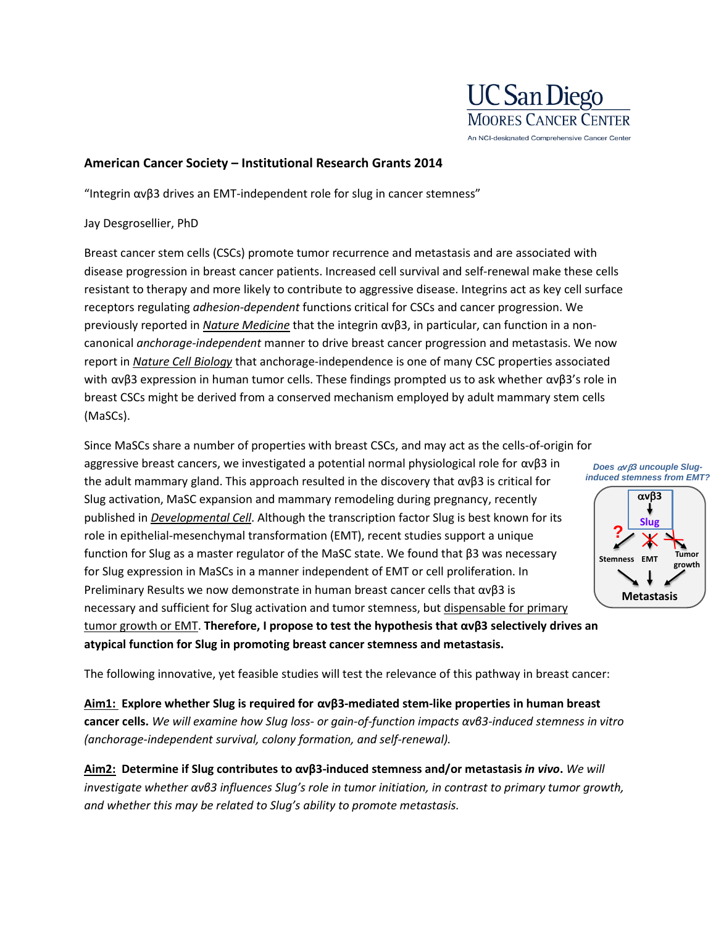

## **American Cancer Society – Institutional Research Grants 2014**

"Integrin  $ανβ3$  drives an EMT-independent role for slug in cancer stemness"

## Jay Desgrosellier, PhD

Breast cancer stem cells (CSCs) promote tumor recurrence and metastasis and are associated with disease progression in breast cancer patients. Increased cell survival and self-renewal make these cells resistant to therapy and more likely to contribute to aggressive disease. Integrins act as key cell surface receptors regulating *adhesion-dependent* functions critical for CSCs and cancer progression. We previously reported in *Nature Medicine* that the integrin αvβ3, in particular, can function in a noncanonical *anchorage-independent* manner to drive breast cancer progression and metastasis. We now report in *Nature Cell Biology* that anchorage-independence is one of many CSC properties associated with  $ανβ3$  expression in human tumor cells. These findings prompted us to ask whether  $ανβ3$ 's role in breast CSCs might be derived from a conserved mechanism employed by adult mammary stem cells (MaSCs).

Since MaSCs share a number of properties with breast CSCs, and may act as the cells-of-origin for aggressive breast cancers, we investigated a potential normal physiological role for αvβ3 in the adult mammary gland. This approach resulted in the discovery that  $\alpha \nu \beta 3$  is critical for Slug activation, MaSC expansion and mammary remodeling during pregnancy, recently published in *Developmental Cell*. Although the transcription factor Slug is best known for its role in epithelial-mesenchymal transformation (EMT), recent studies support a unique function for Slug as a master regulator of the MaSC state. We found that β3 was necessary for Slug expression in MaSCs in a manner independent of EMT or cell proliferation. In Preliminary Results we now demonstrate in human breast cancer cells that  $\alpha v\beta 3$  is necessary and sufficient for Slug activation and tumor stemness, but dispensable for primary tumor growth or EMT. **Therefore, I propose to test the hypothesis that αvβ3 selectively drives an** 



**atypical function for Slug in promoting breast cancer stemness and metastasis.**

The following innovative, yet feasible studies will test the relevance of this pathway in breast cancer:

**Aim1: Explore whether Slug is required for αvβ3-mediated stem-like properties in human breast cancer cells.** *We will examine how Slug loss- or gain-of-function impacts αvβ3-induced stemness in vitro (anchorage-independent survival, colony formation, and self-renewal).*

**Aim2: Determine if Slug contributes to αvβ3-induced stemness and/or metastasis** *in vivo***.** *We will investigate whether αvβ3 influences Slug's role in tumor initiation, in contrast to primary tumor growth, and whether this may be related to Slug's ability to promote metastasis.*